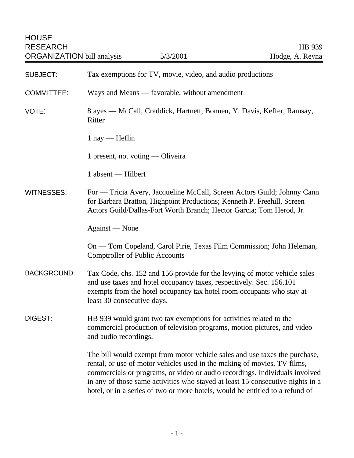| <b>SUBJECT:</b>    | Tax exemptions for TV, movie, video, and audio productions                                                                                                                                                                                                                                                                                                                                               |
|--------------------|----------------------------------------------------------------------------------------------------------------------------------------------------------------------------------------------------------------------------------------------------------------------------------------------------------------------------------------------------------------------------------------------------------|
| <b>COMMITTEE:</b>  | Ways and Means — favorable, without amendment                                                                                                                                                                                                                                                                                                                                                            |
| VOTE:              | 8 ayes — McCall, Craddick, Hartnett, Bonnen, Y. Davis, Keffer, Ramsay,<br>Ritter                                                                                                                                                                                                                                                                                                                         |
|                    | $1$ nay — Heflin                                                                                                                                                                                                                                                                                                                                                                                         |
|                    | 1 present, not voting $-$ Oliveira                                                                                                                                                                                                                                                                                                                                                                       |
|                    | 1 absent — Hilbert                                                                                                                                                                                                                                                                                                                                                                                       |
| <b>WITNESSES:</b>  | For — Tricia Avery, Jacqueline McCall, Screen Actors Guild; Johnny Cann<br>for Barbara Bratton, Highpoint Productions; Kenneth P. Freehill, Screen<br>Actors Guild/Dallas-Fort Worth Branch; Hector Garcia; Tom Herod, Jr.                                                                                                                                                                               |
|                    | Against — None                                                                                                                                                                                                                                                                                                                                                                                           |
|                    | On — Tom Copeland, Carol Pirie, Texas Film Commission; John Heleman,<br><b>Comptroller of Public Accounts</b>                                                                                                                                                                                                                                                                                            |
| <b>BACKGROUND:</b> | Tax Code, chs. 152 and 156 provide for the levying of motor vehicle sales<br>and use taxes and hotel occupancy taxes, respectively. Sec. 156.101<br>exempts from the hotel occupancy tax hotel room occupants who stay at<br>least 30 consecutive days.                                                                                                                                                  |
| <b>DIGEST:</b>     | HB 939 would grant two tax exemptions for activities related to the<br>commercial production of television programs, motion pictures, and video<br>and audio recordings.                                                                                                                                                                                                                                 |
|                    | The bill would exempt from motor vehicle sales and use taxes the purchase,<br>rental, or use of motor vehicles used in the making of movies, TV films,<br>commercials or programs, or video or audio recordings. Individuals involved<br>in any of those same activities who stayed at least 15 consecutive nights in a<br>hotel, or in a series of two or more hotels, would be entitled to a refund of |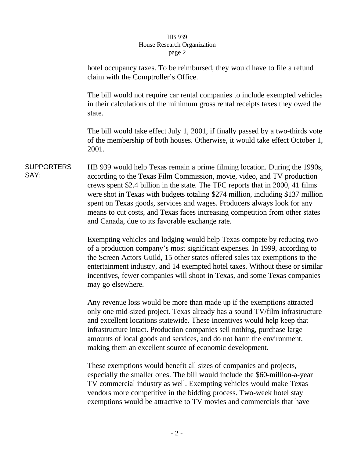## HB 939 House Research Organization page 2

hotel occupancy taxes. To be reimbursed, they would have to file a refund claim with the Comptroller's Office. The bill would not require car rental companies to include exempted vehicles in their calculations of the minimum gross rental receipts taxes they owed the state. The bill would take effect July 1, 2001, if finally passed by a two-thirds vote of the membership of both houses. Otherwise, it would take effect October 1, 2001.

SUPPORTERS SAY: HB 939 would help Texas remain a prime filming location. During the 1990s, according to the Texas Film Commission, movie, video, and TV production crews spent \$2.4 billion in the state. The TFC reports that in 2000, 41 films were shot in Texas with budgets totaling \$274 million, including \$137 million spent on Texas goods, services and wages. Producers always look for any means to cut costs, and Texas faces increasing competition from other states and Canada, due to its favorable exchange rate.

> Exempting vehicles and lodging would help Texas compete by reducing two of a production company's most significant expenses. In 1999, according to the Screen Actors Guild, 15 other states offered sales tax exemptions to the entertainment industry, and 14 exempted hotel taxes. Without these or similar incentives, fewer companies will shoot in Texas, and some Texas companies may go elsewhere.

> Any revenue loss would be more than made up if the exemptions attracted only one mid-sized project. Texas already has a sound TV/film infrastructure and excellent locations statewide. These incentives would help keep that infrastructure intact. Production companies sell nothing, purchase large amounts of local goods and services, and do not harm the environment, making them an excellent source of economic development.

These exemptions would benefit all sizes of companies and projects, especially the smaller ones. The bill would include the \$60-million-a-year TV commercial industry as well. Exempting vehicles would make Texas vendors more competitive in the bidding process. Two-week hotel stay exemptions would be attractive to TV movies and commercials that have